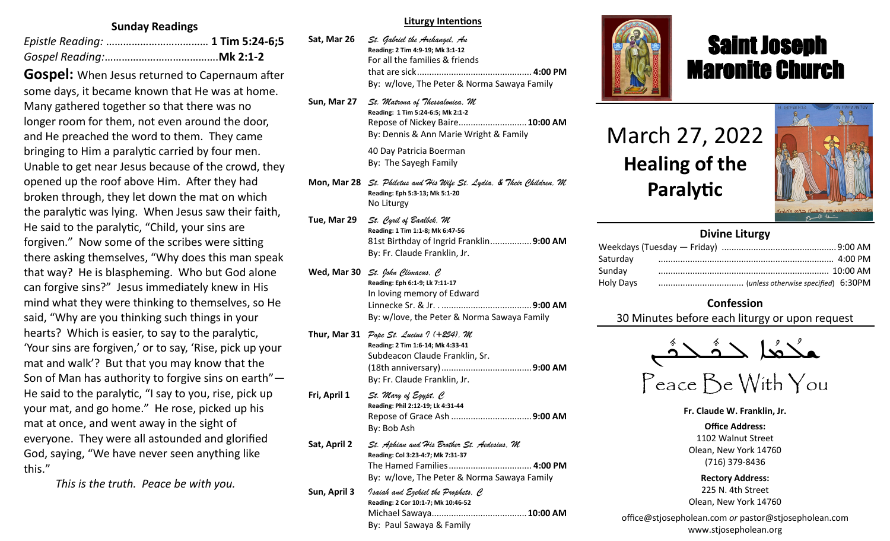## **Sunday Readings**

**Gospel:** When Jesus returned to Capernaum after some days, it became known that He was at home. Many gathered together so that there was no longer room for them, not even around the door, and He preached the word to them. They came bringing to Him a paralytic carried by four men. Unable to get near Jesus because of the crowd, they opened up the roof above Him. After they had broken through, they let down the mat on which the paralytic was lying. When Jesus saw their faith, He said to the paralytic, "Child, your sins are forgiven." Now some of the scribes were sitting there asking themselves, "Why does this man speak that way? He is blaspheming. Who but God alone can forgive sins?" Jesus immediately knew in His mind what they were thinking to themselves, so He said, "Why are you thinking such things in your hearts? Which is easier, to say to the paralytic, 'Your sins are forgiven,' or to say, 'Rise, pick up your mat and walk'? But that you may know that the Son of Man has authority to forgive sins on earth"— He said to the paralytic, "I say to you, rise, pick up your mat, and go home." He rose, picked up his mat at once, and went away in the sight of everyone. They were all astounded and glorified God, saying, "We have never seen anything like this."

*This is the truth. Peace be with you.*

#### **Liturgy Intentions**

| Sat, Mar 26 | St. Gabriel the Archangel, An               |  |
|-------------|---------------------------------------------|--|
|             | Reading: 2 Tim 4:9-19; Mk 3:1-12            |  |
|             | For all the families & friends              |  |
|             |                                             |  |
|             | By: w/love, The Peter & Norma Sawaya Family |  |
|             |                                             |  |

- **Sun, Mar 27** *St. Matrona of Thessalonica, M* **Reading: 1 Tim 5:24-6:5; Mk 2:1-2** Repose of Nickey Baire............................**10:00 AM** By: Dennis & Ann Marie Wright & Family 40 Day Patricia Boerman By: The Sayegh Family
- **Mon, Mar 28** *St. Philetus and His Wife St. Lydia, & Their Children, M* **Reading: Eph 5:3-13; Mk 5:1-20** No Liturgy
- **Tue, Mar 29** *St. Cyril of Baalbek, M*  **Reading: 1 Tim 1:1-8; Mk 6:47-56** 81st Birthday of Ingrid Franklin.................**9:00 AM**  By: Fr. Claude Franklin, Jr.
- **Wed, Mar 30** *St. John Climacus, C* **Reading: Eph 6:1-9; Lk 7:11-17** In loving memory of Edward Linnecke Sr. & Jr. . .....................................**9:00 AM** By: w/love, the Peter & Norma Sawaya Family
- **Thur, Mar 31** *Pope St. Lucius I (+254), M* **Reading: 2 Tim 1:6-14; Mk 4:33-41** Subdeacon Claude Franklin, Sr. (18th anniversary).....................................**9:00 AM** By: Fr. Claude Franklin, Jr.
- **Fri, April 1** *St. Mary of Egypt, C* **Reading: Phil 2:12-19; Lk 4:31-44** Repose of Grace Ash .................................**9:00 AM**  By: Bob Ash **Sat, April 2** *St. Aphian and His Brother St. Aedesius, M* **Reading: Col 3:23-4:7; Mk 7:31-37** The Hamed Families.................................. **4:00 PM** By: w/love, The Peter & Norma Sawaya Family **Sun, April 3** *Isaiah and Ezekiel the Prophets, C* **Reading: 2 Cor 10:1-7; Mk 10:46-52** Michael Sawaya.......................................**10:00 AM**

By: Paul Sawaya & Family



## Saint Joseph Maronite Church

# March 27, 2022 **Healing of the Paralytic**

ī



## **Divine Liturgy**

| Saturday  |  |
|-----------|--|
| Sunday    |  |
| Holy Days |  |
|           |  |

## **Confession**

30 Minutes before each liturgy or upon request



**Fr. Claude W. Franklin, Jr.**

**Office Address:** 1102 Walnut Street Olean, New York 14760 (716) 379-8436

**Rectory Address:** 225 N. 4th Street Olean, New York 14760

office@stjosepholean.com *or* pastor@stjosepholean.com www.stjosepholean.org